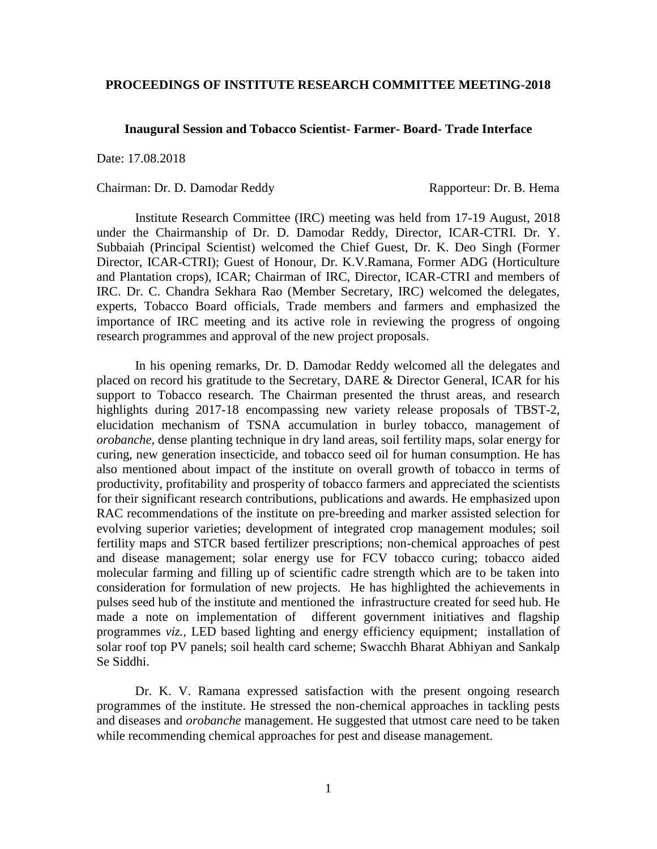## **PROCEEDINGS OF INSTITUTE RESEARCH COMMITTEE MEETING-2018**

## **Inaugural Session and Tobacco Scientist- Farmer- Board- Trade Interface**

Date: 17.08.2018

## Chairman: Dr. D. Damodar Reddy Rapporteur: Dr. B. Hema

Institute Research Committee (IRC) meeting was held from 17-19 August, 2018 under the Chairmanship of Dr. D. Damodar Reddy, Director, ICAR-CTRI. Dr. Y. Subbaiah (Principal Scientist) welcomed the Chief Guest, Dr. K. Deo Singh (Former Director, ICAR-CTRI); Guest of Honour, Dr. K.V.Ramana, Former ADG (Horticulture and Plantation crops), ICAR; Chairman of IRC, Director, ICAR-CTRI and members of IRC. Dr. C. Chandra Sekhara Rao (Member Secretary, IRC) welcomed the delegates, experts, Tobacco Board officials, Trade members and farmers and emphasized the importance of IRC meeting and its active role in reviewing the progress of ongoing research programmes and approval of the new project proposals.

In his opening remarks, Dr. D. Damodar Reddy welcomed all the delegates and placed on record his gratitude to the Secretary, DARE & Director General, ICAR for his support to Tobacco research. The Chairman presented the thrust areas, and research highlights during 2017-18 encompassing new variety release proposals of TBST-2, elucidation mechanism of TSNA accumulation in burley tobacco, management of *orobanche*, dense planting technique in dry land areas, soil fertility maps, solar energy for curing, new generation insecticide, and tobacco seed oil for human consumption. He has also mentioned about impact of the institute on overall growth of tobacco in terms of productivity, profitability and prosperity of tobacco farmers and appreciated the scientists for their significant research contributions, publications and awards. He emphasized upon RAC recommendations of the institute on pre-breeding and marker assisted selection for evolving superior varieties; development of integrated crop management modules; soil fertility maps and STCR based fertilizer prescriptions; non-chemical approaches of pest and disease management; solar energy use for FCV tobacco curing; tobacco aided molecular farming and filling up of scientific cadre strength which are to be taken into consideration for formulation of new projects. He has highlighted the achievements in pulses seed hub of the institute and mentioned the infrastructure created for seed hub. He made a note on implementation of different government initiatives and flagship programmes *viz.,* LED based lighting and energy efficiency equipment; installation of solar roof top PV panels; soil health card scheme; Swacchh Bharat Abhiyan and Sankalp Se Siddhi.

Dr. K. V. Ramana expressed satisfaction with the present ongoing research programmes of the institute. He stressed the non-chemical approaches in tackling pests and diseases and *orobanche* management. He suggested that utmost care need to be taken while recommending chemical approaches for pest and disease management.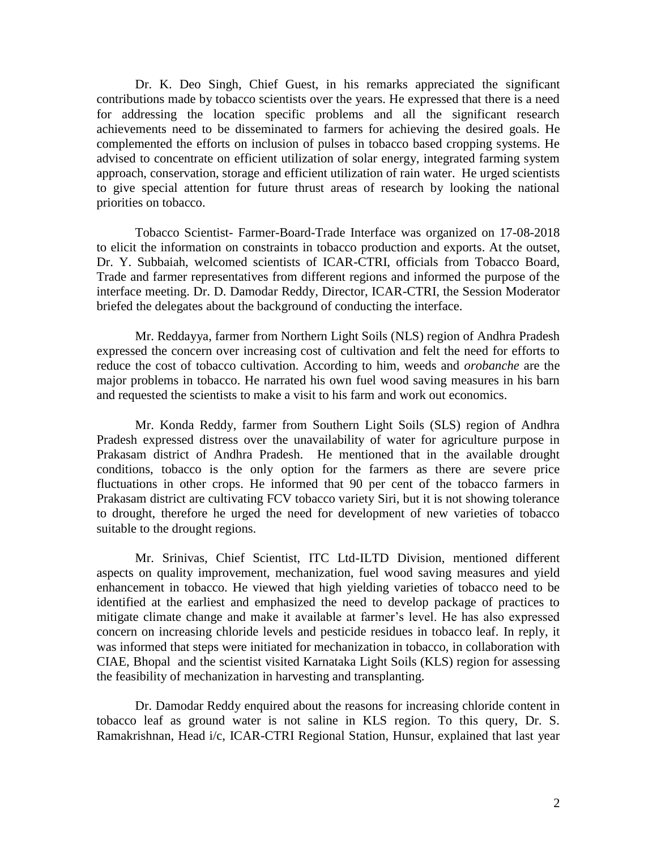Dr. K. Deo Singh, Chief Guest, in his remarks appreciated the significant contributions made by tobacco scientists over the years. He expressed that there is a need for addressing the location specific problems and all the significant research achievements need to be disseminated to farmers for achieving the desired goals. He complemented the efforts on inclusion of pulses in tobacco based cropping systems. He advised to concentrate on efficient utilization of solar energy, integrated farming system approach, conservation, storage and efficient utilization of rain water. He urged scientists to give special attention for future thrust areas of research by looking the national priorities on tobacco.

Tobacco Scientist- Farmer-Board-Trade Interface was organized on 17-08-2018 to elicit the information on constraints in tobacco production and exports. At the outset, Dr. Y. Subbaiah, welcomed scientists of ICAR-CTRI, officials from Tobacco Board, Trade and farmer representatives from different regions and informed the purpose of the interface meeting. Dr. D. Damodar Reddy, Director, ICAR-CTRI, the Session Moderator briefed the delegates about the background of conducting the interface.

Mr. Reddayya, farmer from Northern Light Soils (NLS) region of Andhra Pradesh expressed the concern over increasing cost of cultivation and felt the need for efforts to reduce the cost of tobacco cultivation. According to him, weeds and *orobanche* are the major problems in tobacco. He narrated his own fuel wood saving measures in his barn and requested the scientists to make a visit to his farm and work out economics.

Mr. Konda Reddy, farmer from Southern Light Soils (SLS) region of Andhra Pradesh expressed distress over the unavailability of water for agriculture purpose in Prakasam district of Andhra Pradesh. He mentioned that in the available drought conditions, tobacco is the only option for the farmers as there are severe price fluctuations in other crops. He informed that 90 per cent of the tobacco farmers in Prakasam district are cultivating FCV tobacco variety Siri, but it is not showing tolerance to drought, therefore he urged the need for development of new varieties of tobacco suitable to the drought regions.

Mr. Srinivas, Chief Scientist, ITC Ltd-ILTD Division, mentioned different aspects on quality improvement, mechanization, fuel wood saving measures and yield enhancement in tobacco. He viewed that high yielding varieties of tobacco need to be identified at the earliest and emphasized the need to develop package of practices to mitigate climate change and make it available at farmer's level. He has also expressed concern on increasing chloride levels and pesticide residues in tobacco leaf. In reply, it was informed that steps were initiated for mechanization in tobacco, in collaboration with CIAE, Bhopal and the scientist visited Karnataka Light Soils (KLS) region for assessing the feasibility of mechanization in harvesting and transplanting.

Dr. Damodar Reddy enquired about the reasons for increasing chloride content in tobacco leaf as ground water is not saline in KLS region. To this query, Dr. S. Ramakrishnan, Head i/c, ICAR-CTRI Regional Station, Hunsur, explained that last year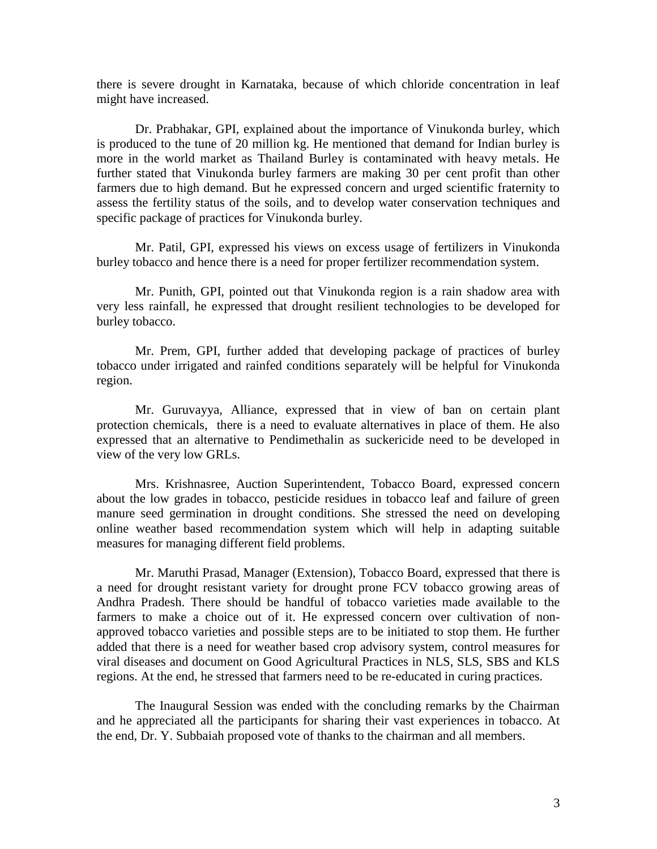there is severe drought in Karnataka, because of which chloride concentration in leaf might have increased.

Dr. Prabhakar, GPI, explained about the importance of Vinukonda burley, which is produced to the tune of 20 million kg. He mentioned that demand for Indian burley is more in the world market as Thailand Burley is contaminated with heavy metals. He further stated that Vinukonda burley farmers are making 30 per cent profit than other farmers due to high demand. But he expressed concern and urged scientific fraternity to assess the fertility status of the soils, and to develop water conservation techniques and specific package of practices for Vinukonda burley.

Mr. Patil, GPI, expressed his views on excess usage of fertilizers in Vinukonda burley tobacco and hence there is a need for proper fertilizer recommendation system.

Mr. Punith, GPI, pointed out that Vinukonda region is a rain shadow area with very less rainfall, he expressed that drought resilient technologies to be developed for burley tobacco.

Mr. Prem, GPI, further added that developing package of practices of burley tobacco under irrigated and rainfed conditions separately will be helpful for Vinukonda region.

Mr. Guruvayya, Alliance, expressed that in view of ban on certain plant protection chemicals, there is a need to evaluate alternatives in place of them. He also expressed that an alternative to Pendimethalin as suckericide need to be developed in view of the very low GRLs.

Mrs. Krishnasree, Auction Superintendent, Tobacco Board, expressed concern about the low grades in tobacco, pesticide residues in tobacco leaf and failure of green manure seed germination in drought conditions. She stressed the need on developing online weather based recommendation system which will help in adapting suitable measures for managing different field problems.

Mr. Maruthi Prasad, Manager (Extension), Tobacco Board, expressed that there is a need for drought resistant variety for drought prone FCV tobacco growing areas of Andhra Pradesh. There should be handful of tobacco varieties made available to the farmers to make a choice out of it. He expressed concern over cultivation of nonapproved tobacco varieties and possible steps are to be initiated to stop them. He further added that there is a need for weather based crop advisory system, control measures for viral diseases and document on Good Agricultural Practices in NLS, SLS, SBS and KLS regions. At the end, he stressed that farmers need to be re-educated in curing practices.

The Inaugural Session was ended with the concluding remarks by the Chairman and he appreciated all the participants for sharing their vast experiences in tobacco. At the end, Dr. Y. Subbaiah proposed vote of thanks to the chairman and all members.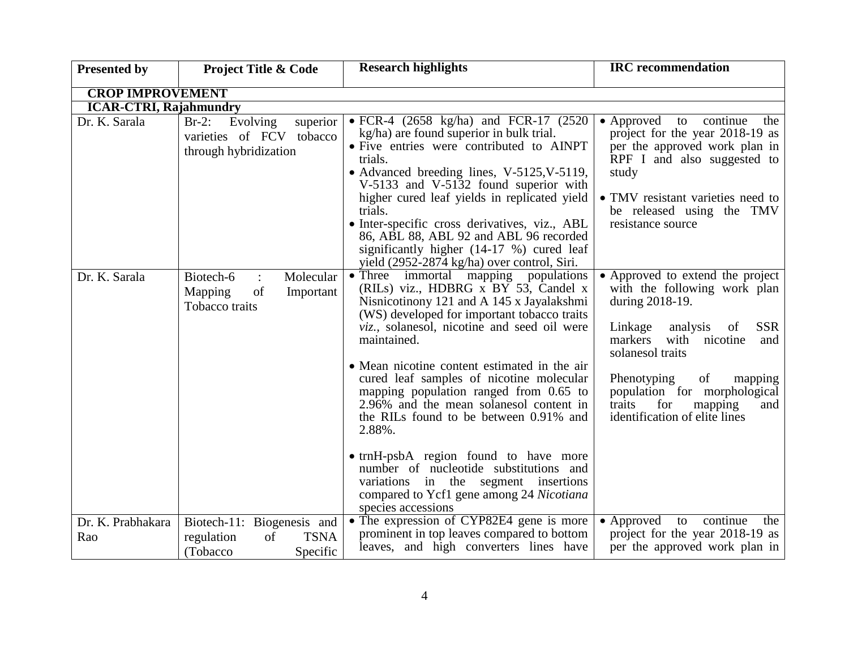| <b>Presented by</b>           | <b>Project Title &amp; Code</b>                                                       | <b>Research highlights</b>                                                                                                                                                                                                                                                                                                                                                                                                                                                                                                                                                                                                                                               | <b>IRC</b> recommendation                                                                                                                                                                                                                                                                                                    |
|-------------------------------|---------------------------------------------------------------------------------------|--------------------------------------------------------------------------------------------------------------------------------------------------------------------------------------------------------------------------------------------------------------------------------------------------------------------------------------------------------------------------------------------------------------------------------------------------------------------------------------------------------------------------------------------------------------------------------------------------------------------------------------------------------------------------|------------------------------------------------------------------------------------------------------------------------------------------------------------------------------------------------------------------------------------------------------------------------------------------------------------------------------|
| <b>CROP IMPROVEMENT</b>       |                                                                                       |                                                                                                                                                                                                                                                                                                                                                                                                                                                                                                                                                                                                                                                                          |                                                                                                                                                                                                                                                                                                                              |
| <b>ICAR-CTRI, Rajahmundry</b> |                                                                                       |                                                                                                                                                                                                                                                                                                                                                                                                                                                                                                                                                                                                                                                                          |                                                                                                                                                                                                                                                                                                                              |
| Dr. K. Sarala                 | Evolving<br>$Br-2$ :<br>superior<br>varieties of FCV tobacco<br>through hybridization | • FCR-4 $(2658 \text{ kg/ha})$ and FCR-17 $(2520 \text{ m})$<br>kg/ha) are found superior in bulk trial.<br>• Five entries were contributed to AINPT<br>trials.<br>• Advanced breeding lines, V-5125, V-5119,<br>V-5133 and V-5132 found superior with<br>higher cured leaf yields in replicated yield<br>trials.<br>• Inter-specific cross derivatives, viz., ABL<br>86, ABL 88, ABL 92 and ABL 96 recorded<br>significantly higher (14-17 %) cured leaf<br>yield (2952-2874 kg/ha) over control, Siri.                                                                                                                                                                 | • Approved to continue<br>the<br>project for the year 2018-19 as<br>per the approved work plan in<br>RPF I and also suggested to<br>study<br>• TMV resistant varieties need to<br>be released using the TMV<br>resistance source                                                                                             |
| Dr. K. Sarala                 | Biotech-6<br>Molecular<br>Mapping<br>of<br>Important<br>Tobacco traits                | • Three immortal mapping populations<br>(RILs) viz., HDBRG x BY 53, Candel x<br>Nisnicotinony 121 and A 145 x Jayalakshmi<br>(WS) developed for important tobacco traits<br>viz., solanesol, nicotine and seed oil were<br>maintained.<br>• Mean nicotine content estimated in the air<br>cured leaf samples of nicotine molecular<br>mapping population ranged from 0.65 to<br>2.96% and the mean solanesol content in<br>the RILs found to be between 0.91% and<br>2.88%.<br>• trnH-psbA region found to have more<br>number of nucleotide substitutions and<br>variations in the segment insertions<br>compared to Ycf1 gene among 24 Nicotiana<br>species accessions | • Approved to extend the project<br>with the following work plan<br>during 2018-19.<br><b>SSR</b><br>Linkage<br>analysis<br>of<br>markers<br>with<br>nicotine<br>and<br>solanesol traits<br>Phenotyping<br>of<br>mapping<br>population for morphological<br>for<br>traits<br>mapping<br>and<br>identification of elite lines |
| Dr. K. Prabhakara<br>Rao      | Biotech-11: Biogenesis and<br>of<br><b>TSNA</b><br>regulation<br>(Tobacco<br>Specific | • The expression of CYP82E4 gene is more<br>prominent in top leaves compared to bottom<br>leaves, and high converters lines have                                                                                                                                                                                                                                                                                                                                                                                                                                                                                                                                         | • Approved to continue<br>the<br>project for the year 2018-19 as<br>per the approved work plan in                                                                                                                                                                                                                            |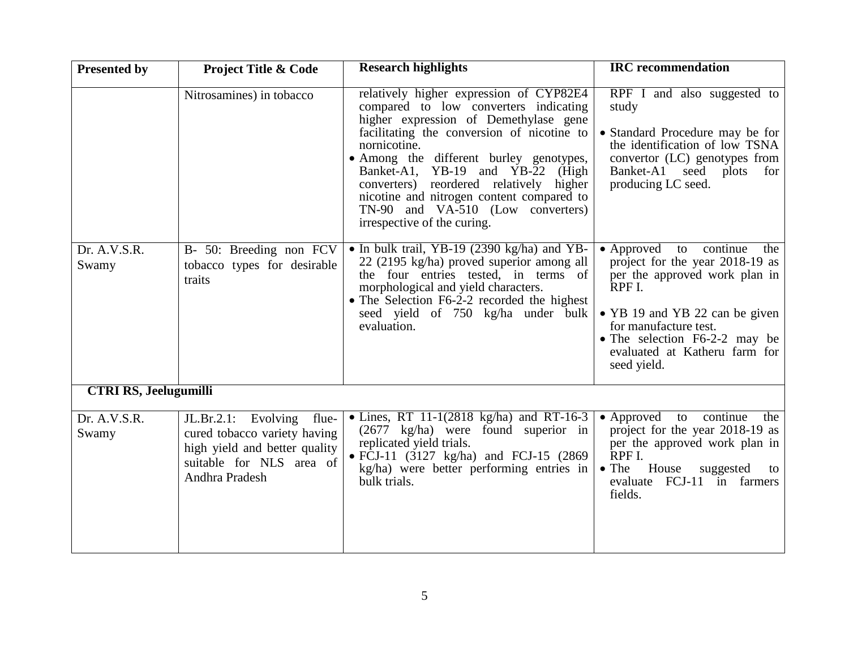| <b>Presented by</b>          | <b>Project Title &amp; Code</b>                                                                                                          | <b>Research highlights</b>                                                                                                                                                                                                                                                                                                                                                                                                         | <b>IRC</b> recommendation                                                                                                                                                                                                                               |
|------------------------------|------------------------------------------------------------------------------------------------------------------------------------------|------------------------------------------------------------------------------------------------------------------------------------------------------------------------------------------------------------------------------------------------------------------------------------------------------------------------------------------------------------------------------------------------------------------------------------|---------------------------------------------------------------------------------------------------------------------------------------------------------------------------------------------------------------------------------------------------------|
|                              | Nitrosamines) in tobacco                                                                                                                 | relatively higher expression of CYP82E4<br>compared to low converters indicating<br>higher expression of Demethylase gene<br>facilitating the conversion of nicotine to<br>nornicotine.<br>· Among the different burley genotypes,<br>Banket-A1, YB-19 and YB-22 (High<br>converters) reordered relatively higher<br>nicotine and nitrogen content compared to<br>TN-90 and VA-510 (Low converters)<br>irrespective of the curing. | RPF I and also suggested to<br>study<br>• Standard Procedure may be for<br>the identification of low TSNA<br>convertor (LC) genotypes from<br>Banket-A1 seed plots<br>for<br>producing LC seed.                                                         |
| Dr. A.V.S.R.<br>Swamy        | B- 50: Breeding non FCV<br>tobacco types for desirable<br>traits                                                                         | • In bulk trail, YB-19 (2390 kg/ha) and YB-<br>22 (2195 kg/ha) proved superior among all<br>the four entries tested, in terms of<br>morphological and yield characters.<br>• The Selection F6-2-2 recorded the highest<br>seed yield of 750 kg/ha under bulk<br>evaluation.                                                                                                                                                        | • Approved to continue<br>the<br>project for the year 2018-19 as<br>per the approved work plan in<br>RPF I.<br>• YB 19 and YB 22 can be given<br>for manufacture test.<br>• The selection F6-2-2 may be<br>evaluated at Katheru farm for<br>seed yield. |
| <b>CTRI RS, Jeelugumilli</b> |                                                                                                                                          |                                                                                                                                                                                                                                                                                                                                                                                                                                    |                                                                                                                                                                                                                                                         |
| Dr. A.V.S.R.<br>Swamy        | JL.Br.2.1: Evolving flue-<br>cured tobacco variety having<br>high yield and better quality<br>suitable for NLS area of<br>Andhra Pradesh | • Lines, RT 11-1(2818 kg/ha) and RT-16-3<br>$(2677 \text{ kg/ha})$ were found superior in<br>replicated yield trials.<br>• FCJ-11 $(3127 \text{ kg/ha})$ and FCJ-15 $(2869$<br>kg/ha) were better performing entries in<br>bulk trials.                                                                                                                                                                                            | • Approved to continue<br>the<br>project for the year 2018-19 as<br>per the approved work plan in<br>RPF I.<br>$\bullet$ The<br>House<br>suggested<br>to<br>evaluate FCJ-11 in farmers<br>fields.                                                       |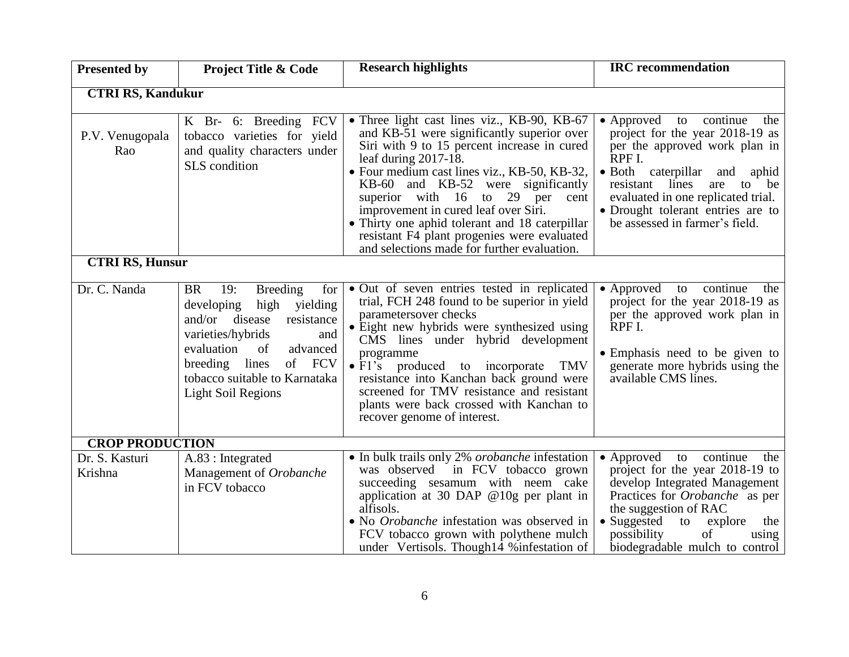| <b>Presented by</b>                                 | <b>Project Title &amp; Code</b>                                                                                                                                                                                                                                              | <b>Research highlights</b>                                                                                                                                                                                                                                                                                                                                                                                                                                                              | <b>IRC</b> recommendation                                                                                                                                                                                                                                                                   |  |  |
|-----------------------------------------------------|------------------------------------------------------------------------------------------------------------------------------------------------------------------------------------------------------------------------------------------------------------------------------|-----------------------------------------------------------------------------------------------------------------------------------------------------------------------------------------------------------------------------------------------------------------------------------------------------------------------------------------------------------------------------------------------------------------------------------------------------------------------------------------|---------------------------------------------------------------------------------------------------------------------------------------------------------------------------------------------------------------------------------------------------------------------------------------------|--|--|
| <b>CTRI RS, Kandukur</b>                            |                                                                                                                                                                                                                                                                              |                                                                                                                                                                                                                                                                                                                                                                                                                                                                                         |                                                                                                                                                                                                                                                                                             |  |  |
| P.V. Venugopala<br>Rao                              | K Br- 6: Breeding FCV<br>tobacco varieties for yield<br>and quality characters under<br>SLS condition                                                                                                                                                                        | • Three light cast lines viz., KB-90, KB-67<br>and KB-51 were significantly superior over<br>Siri with 9 to 15 percent increase in cured<br>leaf during $2017-18$ .<br>· Four medium cast lines viz., KB-50, KB-32,<br>KB-60 and KB-52 were significantly<br>superior with 16 to 29 per<br>cent<br>improvement in cured leaf over Siri.<br>• Thirty one aphid tolerant and 18 caterpillar<br>resistant F4 plant progenies were evaluated<br>and selections made for further evaluation. | • Approved to continue<br>the<br>project for the year 2018-19 as<br>per the approved work plan in<br>RPF I.<br>· Both caterpillar and aphid<br>resistant lines<br>are<br>to be<br>evaluated in one replicated trial.<br>• Drought tolerant entries are to<br>be assessed in farmer's field. |  |  |
|                                                     | <b>CTRI RS, Hunsur</b>                                                                                                                                                                                                                                                       |                                                                                                                                                                                                                                                                                                                                                                                                                                                                                         |                                                                                                                                                                                                                                                                                             |  |  |
| Dr. C. Nanda                                        | <b>BR</b><br>19:<br><b>Breeding</b><br>for<br>high<br>yielding<br>developing<br>and/or disease<br>resistance<br>varieties/hybrids<br>and<br>evaluation<br>advanced<br>of<br><b>FCV</b><br>breeding lines<br>of<br>tobacco suitable to Karnataka<br><b>Light Soil Regions</b> | • Out of seven entries tested in replicated<br>trial, FCH 248 found to be superior in yield<br>parametersover checks<br>• Eight new hybrids were synthesized using<br>CMS lines under hybrid development<br>programme<br>$\bullet$ F1's produced to incorporate<br>TMV<br>resistance into Kanchan back ground were<br>screened for TMV resistance and resistant<br>plants were back crossed with Kanchan to<br>recover genome of interest.                                              | • Approved to continue<br>the<br>project for the year 2018-19 as<br>per the approved work plan in<br>RPF I.<br>• Emphasis need to be given to<br>generate more hybrids using the<br>available CMS lines.                                                                                    |  |  |
| <b>CROP PRODUCTION</b><br>Dr. S. Kasturi<br>Krishna | A.83 : Integrated<br>Management of Orobanche                                                                                                                                                                                                                                 | • In bulk trails only 2% orobanche infestation<br>was observed in FCV tobacco grown                                                                                                                                                                                                                                                                                                                                                                                                     | continue<br>• Approved to<br>the<br>project for the year 2018-19 to                                                                                                                                                                                                                         |  |  |
|                                                     | in FCV tobacco                                                                                                                                                                                                                                                               | succeeding sesamum with neem cake<br>application at 30 DAP $@10g$ per plant in<br>alfisols.<br>• No Orobanche infestation was observed in<br>FCV tobacco grown with polythene mulch<br>under Vertisols. Though 14 % infestation of                                                                                                                                                                                                                                                      | develop Integrated Management<br>Practices for <i>Orobanche</i> as per<br>the suggestion of RAC<br>• Suggested<br>to explore<br>the<br>possibility<br>of<br>using<br>biodegradable mulch to control                                                                                         |  |  |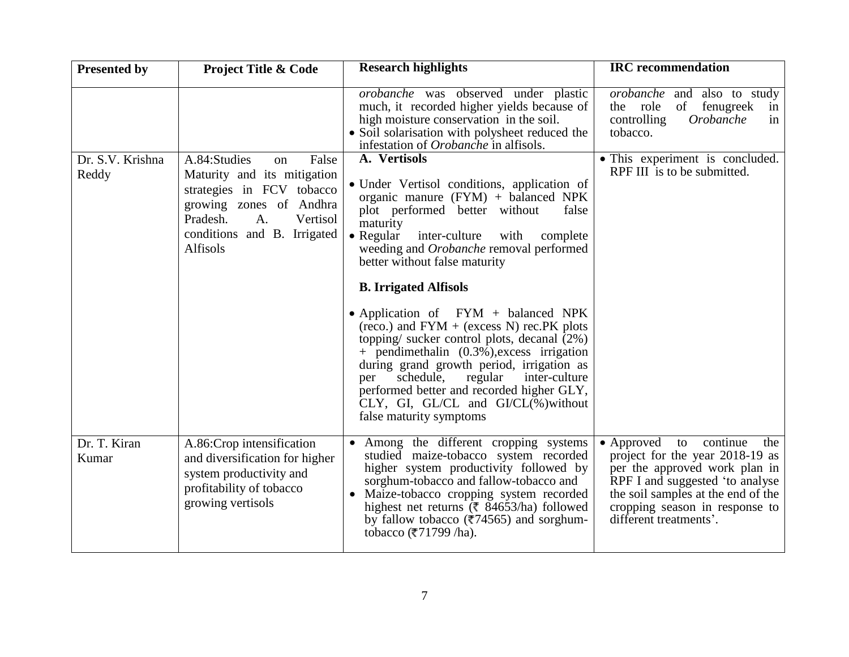| <b>Presented by</b>       | <b>Project Title &amp; Code</b>                                                                                                                                                             | <b>Research highlights</b>                                                                                                                                                                                                                                                                                                                                                                                                                                                                                                                                                                                                                                                                                                                     | <b>IRC</b> recommendation                                                                                                                                                                                                              |
|---------------------------|---------------------------------------------------------------------------------------------------------------------------------------------------------------------------------------------|------------------------------------------------------------------------------------------------------------------------------------------------------------------------------------------------------------------------------------------------------------------------------------------------------------------------------------------------------------------------------------------------------------------------------------------------------------------------------------------------------------------------------------------------------------------------------------------------------------------------------------------------------------------------------------------------------------------------------------------------|----------------------------------------------------------------------------------------------------------------------------------------------------------------------------------------------------------------------------------------|
|                           |                                                                                                                                                                                             | <i>orobanche</i> was observed under plastic<br>much, it recorded higher yields because of<br>high moisture conservation in the soil.<br>• Soil solarisation with polysheet reduced the<br>infestation of <i>Orobanche</i> in alfisols.                                                                                                                                                                                                                                                                                                                                                                                                                                                                                                         | <i>orobanche</i> and also to study<br>of fenugreek<br>the role<br>in<br>Orobanche<br>controlling<br>in<br>tobacco.                                                                                                                     |
| Dr. S.V. Krishna<br>Reddy | A.84:Studies<br>False<br>on<br>Maturity and its mitigation<br>strategies in FCV tobacco<br>growing zones of Andhra<br>Pradesh.<br>A.<br>Vertisol<br>conditions and B. Irrigated<br>Alfisols | A. Vertisols<br>• Under Vertisol conditions, application of<br>organic manure (FYM) + balanced NPK<br>plot performed better without<br>false<br>maturity<br>$\bullet$ Regular<br>inter-culture<br>with<br>complete<br>weeding and Orobanche removal performed<br>better without false maturity<br><b>B. Irrigated Alfisols</b><br>• Application of $FYM + balanced$ NPK<br>$(reco.)$ and $FYM + (excess N)$ rec. PK plots<br>topping/ sucker control plots, decanal (2%)<br>$+$ pendimethalin $(0.3\%)$ , excess irrigation<br>during grand growth period, irrigation as<br>regular<br>inter-culture<br>schedule,<br>per<br>performed better and recorded higher GLY,<br>$CLY$ , GI, GL/CL and GI/CL $(\%)$ without<br>false maturity symptoms | • This experiment is concluded.<br>RPF III is to be submitted.                                                                                                                                                                         |
| Dr. T. Kiran<br>Kumar     | A.86:Crop intensification<br>and diversification for higher<br>system productivity and<br>profitability of tobacco<br>growing vertisols                                                     | Among the different cropping systems<br>$\bullet$<br>studied maize-tobacco system recorded<br>higher system productivity followed by<br>sorghum-tobacco and fallow-tobacco and<br>Maize-tobacco cropping system recorded<br>$\bullet$<br>highest net returns ( $\overline{\xi}$ 84653/ha) followed<br>by fallow tobacco ( $\overline{\epsilon}$ 74565) and sorghum-<br>tobacco (₹71799 /ha).                                                                                                                                                                                                                                                                                                                                                   | • Approved to continue<br>the<br>project for the year 2018-19 as<br>per the approved work plan in<br>RPF I and suggested 'to analyse<br>the soil samples at the end of the<br>cropping season in response to<br>different treatments'. |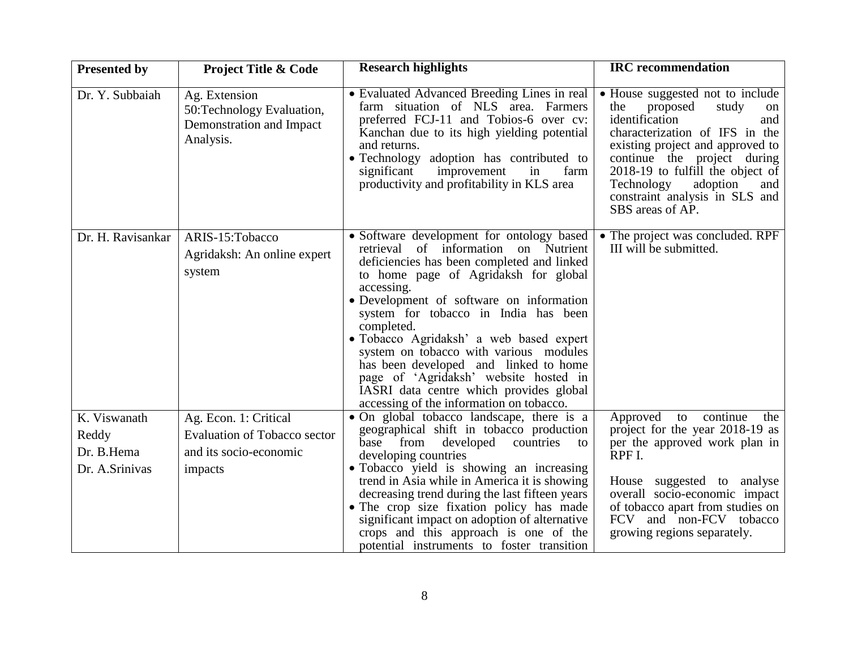| <b>Presented by</b>                                   | <b>Project Title &amp; Code</b>                                                                   | <b>Research highlights</b>                                                                                                                                                                                                                                                                                                                                                                                                                                                                                                                            | <b>IRC</b> recommendation                                                                                                                                                                                                                                                                                                   |
|-------------------------------------------------------|---------------------------------------------------------------------------------------------------|-------------------------------------------------------------------------------------------------------------------------------------------------------------------------------------------------------------------------------------------------------------------------------------------------------------------------------------------------------------------------------------------------------------------------------------------------------------------------------------------------------------------------------------------------------|-----------------------------------------------------------------------------------------------------------------------------------------------------------------------------------------------------------------------------------------------------------------------------------------------------------------------------|
| Dr. Y. Subbaiah                                       | Ag. Extension<br>50: Technology Evaluation,<br>Demonstration and Impact<br>Analysis.              | • Evaluated Advanced Breeding Lines in real<br>farm situation of NLS area. Farmers<br>preferred FCJ-11 and Tobios-6 over cv:<br>Kanchan due to its high yielding potential<br>and returns.<br>• Technology adoption has contributed to<br>improvement<br>significant<br>in<br>farm<br>productivity and profitability in KLS area                                                                                                                                                                                                                      | • House suggested not to include<br>proposed<br>study<br>the<br>on<br>identification<br>and<br>characterization of IFS in the<br>existing project and approved to<br>continue the project during<br>2018-19 to fulfill the object of<br>Technology<br>adoption<br>and<br>constraint analysis in SLS and<br>SBS areas of AP. |
| Dr. H. Ravisankar                                     | ARIS-15: Tobacco<br>Agridaksh: An online expert<br>system                                         | • Software development for ontology based<br>retrieval of information on Nutrient<br>deficiencies has been completed and linked<br>to home page of Agridaksh for global<br>accessing.<br>• Development of software on information<br>system for tobacco in India has been<br>completed.<br>• Tobacco Agridaksh' a web based expert<br>system on tobacco with various modules<br>has been developed and linked to home<br>page of 'Agridaksh' website hosted in<br>IASRI data centre which provides global<br>accessing of the information on tobacco. | • The project was concluded. RPF<br>III will be submitted.                                                                                                                                                                                                                                                                  |
| K. Viswanath<br>Reddy<br>Dr. B.Hema<br>Dr. A.Srinivas | Ag. Econ. 1: Critical<br><b>Evaluation of Tobacco sector</b><br>and its socio-economic<br>impacts | • On global tobacco landscape, there is a<br>geographical shift in tobacco production<br>from<br>developed<br>countries<br>base<br>to<br>developing countries<br>• Tobacco yield is showing an increasing<br>trend in Asia while in America it is showing<br>decreasing trend during the last fifteen years<br>• The crop size fixation policy has made<br>significant impact on adoption of alternative<br>crops and this approach is one of the<br>potential instruments to foster transition                                                       | Approved to<br>continue<br>the<br>project for the year 2018-19 as<br>per the approved work plan in<br>RPF I.<br>House suggested to analyse<br>overall socio-economic impact<br>of tobacco apart from studies on<br>FCV and non-FCV tobacco<br>growing regions separately.                                                   |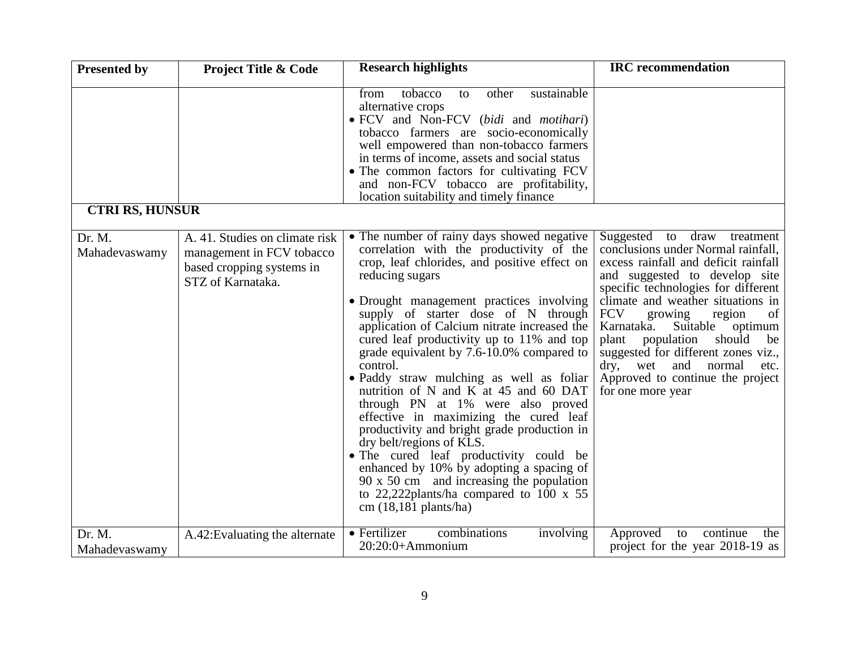| <b>Presented by</b>     | <b>Project Title &amp; Code</b>                                                                               | <b>Research highlights</b>                                                                                                                                                                                                                                                                                                                                                                                                                                                                                                                                                                                                                                                                                                                                                                                                                                                     | <b>IRC</b> recommendation                                                                                                                                                                                                                                                                                                                                                                                                                                                           |
|-------------------------|---------------------------------------------------------------------------------------------------------------|--------------------------------------------------------------------------------------------------------------------------------------------------------------------------------------------------------------------------------------------------------------------------------------------------------------------------------------------------------------------------------------------------------------------------------------------------------------------------------------------------------------------------------------------------------------------------------------------------------------------------------------------------------------------------------------------------------------------------------------------------------------------------------------------------------------------------------------------------------------------------------|-------------------------------------------------------------------------------------------------------------------------------------------------------------------------------------------------------------------------------------------------------------------------------------------------------------------------------------------------------------------------------------------------------------------------------------------------------------------------------------|
|                         |                                                                                                               | sustainable<br>tobacco<br>from<br>other<br>to<br>alternative crops<br>• FCV and Non-FCV (bidi and motihari)<br>tobacco farmers are socio-economically<br>well empowered than non-tobacco farmers<br>in terms of income, assets and social status<br>• The common factors for cultivating FCV<br>and non-FCV tobacco are profitability,<br>location suitability and timely finance                                                                                                                                                                                                                                                                                                                                                                                                                                                                                              |                                                                                                                                                                                                                                                                                                                                                                                                                                                                                     |
| <b>CTRI RS, HUNSUR</b>  |                                                                                                               |                                                                                                                                                                                                                                                                                                                                                                                                                                                                                                                                                                                                                                                                                                                                                                                                                                                                                |                                                                                                                                                                                                                                                                                                                                                                                                                                                                                     |
| Dr. M.<br>Mahadevaswamy | A. 41. Studies on climate risk<br>management in FCV tobacco<br>based cropping systems in<br>STZ of Karnataka. | • The number of rainy days showed negative<br>correlation with the productivity of the<br>crop, leaf chlorides, and positive effect on<br>reducing sugars<br>• Drought management practices involving<br>supply of starter dose of N through<br>application of Calcium nitrate increased the<br>cured leaf productivity up to 11% and top<br>grade equivalent by 7.6-10.0% compared to<br>control.<br>· Paddy straw mulching as well as foliar<br>nutrition of N and K at 45 and 60 DAT<br>through PN at 1% were also proved<br>effective in maximizing the cured leaf<br>productivity and bright grade production in<br>dry belt/regions of KLS.<br>• The cured leaf productivity could be<br>enhanced by 10% by adopting a spacing of<br>$90 \times 50$ cm and increasing the population<br>to 22,222plants/ha compared to 100 $\times$ 55<br>$cm(18,181 \text{ plants/ha})$ | Suggested to draw treatment<br>conclusions under Normal rainfall,<br>excess rainfall and deficit rainfall<br>and suggested to develop site<br>specific technologies for different<br>climate and weather situations in<br><b>FCV</b><br>growing<br>region<br>of<br>Karnataka.<br>Suitable<br>optimum<br>should<br>plant<br>population<br>be<br>suggested for different zones viz.,<br>and<br>normal<br>dry,<br>wet<br>etc.<br>Approved to continue the project<br>for one more year |
| Dr. M.<br>Mahadevaswamy | A.42: Evaluating the alternate                                                                                | • Fertilizer<br>combinations<br>involving<br>$20:20:0+A$ mmonium                                                                                                                                                                                                                                                                                                                                                                                                                                                                                                                                                                                                                                                                                                                                                                                                               | Approved to<br>continue<br>the<br>project for the year 2018-19 as                                                                                                                                                                                                                                                                                                                                                                                                                   |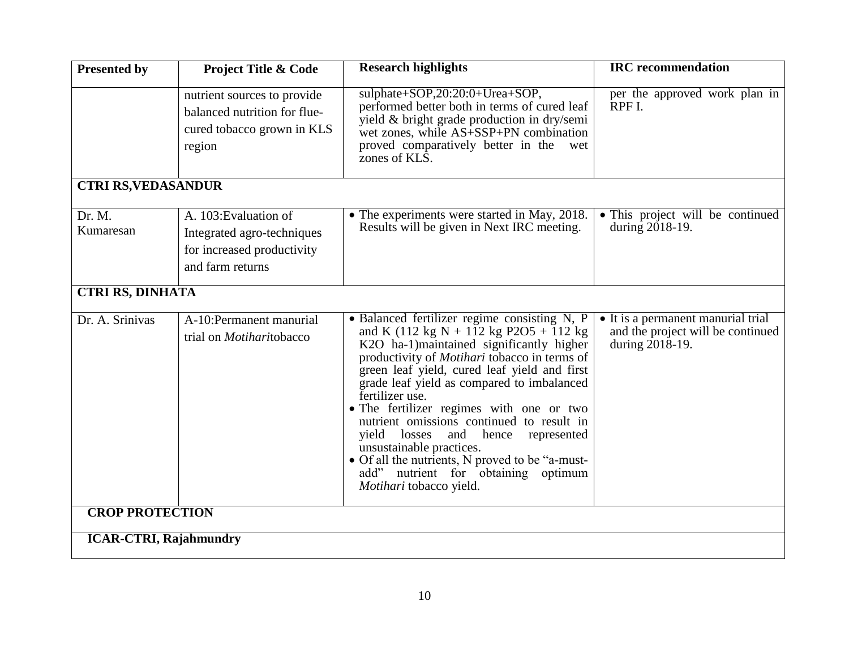| <b>Presented by</b>           | <b>Project Title &amp; Code</b>                                                                       | <b>Research highlights</b>                                                                                                                                                                                                                                                                                                                                                                                                                                                                                                                                                                       | <b>IRC</b> recommendation                                                                  |  |
|-------------------------------|-------------------------------------------------------------------------------------------------------|--------------------------------------------------------------------------------------------------------------------------------------------------------------------------------------------------------------------------------------------------------------------------------------------------------------------------------------------------------------------------------------------------------------------------------------------------------------------------------------------------------------------------------------------------------------------------------------------------|--------------------------------------------------------------------------------------------|--|
|                               | nutrient sources to provide<br>balanced nutrition for flue-<br>cured tobacco grown in KLS<br>region   | sulphate+SOP,20:20:0+Urea+SOP,<br>performed better both in terms of cured leaf<br>yield & bright grade production in dry/semi<br>wet zones, while AS+SSP+PN combination<br>proved comparatively better in the<br>wet<br>zones of KLS.                                                                                                                                                                                                                                                                                                                                                            | per the approved work plan in<br>RPF I.                                                    |  |
| <b>CTRI RS, VEDASANDUR</b>    |                                                                                                       |                                                                                                                                                                                                                                                                                                                                                                                                                                                                                                                                                                                                  |                                                                                            |  |
| Dr. M.<br>Kumaresan           | A. 103: Evaluation of<br>Integrated agro-techniques<br>for increased productivity<br>and farm returns | • The experiments were started in May, 2018.<br>Results will be given in Next IRC meeting.                                                                                                                                                                                                                                                                                                                                                                                                                                                                                                       | • This project will be continued<br>during 2018-19.                                        |  |
| <b>CTRI RS, DINHATA</b>       |                                                                                                       |                                                                                                                                                                                                                                                                                                                                                                                                                                                                                                                                                                                                  |                                                                                            |  |
| Dr. A. Srinivas               | A-10:Permanent manurial<br>trial on <i>Motiharitobacco</i>                                            | • Balanced fertilizer regime consisting N, P<br>and K (112 kg N + 112 kg P2O5 + 112 kg<br>K2O ha-1)maintained significantly higher<br>productivity of <i>Motihari</i> tobacco in terms of<br>green leaf yield, cured leaf yield and first<br>grade leaf yield as compared to imbalanced<br>fertilizer use.<br>• The fertilizer regimes with one or two<br>nutrient omissions continued to result in<br>yield losses<br>and hence<br>represented<br>unsustainable practices.<br>• Of all the nutrients, N proved to be "a-must-<br>add" nutrient for obtaining optimum<br>Motihari tobacco yield. | • It is a permanent manurial trial<br>and the project will be continued<br>during 2018-19. |  |
| <b>CROP PROTECTION</b>        |                                                                                                       |                                                                                                                                                                                                                                                                                                                                                                                                                                                                                                                                                                                                  |                                                                                            |  |
| <b>ICAR-CTRI, Rajahmundry</b> |                                                                                                       |                                                                                                                                                                                                                                                                                                                                                                                                                                                                                                                                                                                                  |                                                                                            |  |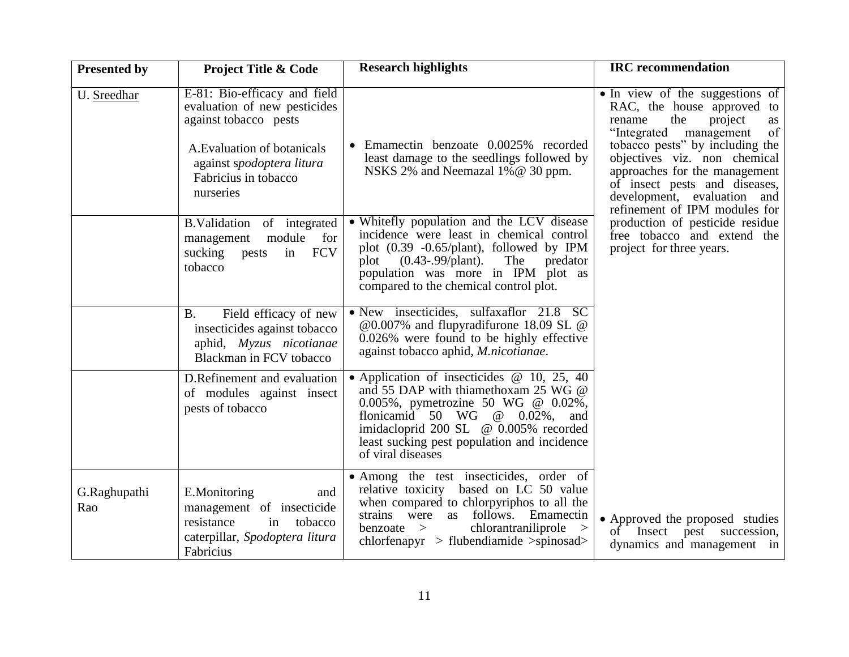| <b>Presented by</b> | <b>Project Title &amp; Code</b>                                                                                                                                                        | <b>Research highlights</b>                                                                                                                                                                                                                                                      | <b>IRC</b> recommendation                                                                                                                                                                                                                                                                                                                                                                                                             |
|---------------------|----------------------------------------------------------------------------------------------------------------------------------------------------------------------------------------|---------------------------------------------------------------------------------------------------------------------------------------------------------------------------------------------------------------------------------------------------------------------------------|---------------------------------------------------------------------------------------------------------------------------------------------------------------------------------------------------------------------------------------------------------------------------------------------------------------------------------------------------------------------------------------------------------------------------------------|
| U. Sreedhar         | E-81: Bio-efficacy and field<br>evaluation of new pesticides<br>against tobacco pests<br>A. Evaluation of botanicals<br>against spodoptera litura<br>Fabricius in tobacco<br>nurseries | Emamectin benzoate 0.0025% recorded<br>least damage to the seedlings followed by<br>NSKS 2% and Neemazal 1% @ 30 ppm.                                                                                                                                                           | • In view of the suggestions of<br>RAC, the house approved to<br>rename<br>the<br>project<br>as<br>of<br>"Integrated<br>management<br>tobacco pests" by including the<br>objectives viz. non chemical<br>approaches for the management<br>of insect pests and diseases,<br>development, evaluation and<br>refinement of IPM modules for<br>production of pesticide residue<br>free tobacco and extend the<br>project for three years. |
|                     | B.Validation of integrated<br>module for<br>management<br><b>FCV</b><br>sucking<br>pests<br>in<br>tobacco                                                                              | • Whitefly population and the LCV disease<br>incidence were least in chemical control<br>plot $(0.39 -0.65/\text{plant})$ , followed by IPM<br>$(0.43 - 99$ /plant).<br>The<br>predator<br>plot<br>population was more in IPM plot as<br>compared to the chemical control plot. |                                                                                                                                                                                                                                                                                                                                                                                                                                       |
|                     | <b>B.</b><br>Field efficacy of new<br>insecticides against tobacco<br>aphid, Myzus nicotianae<br>Blackman in FCV tobacco                                                               | • New insecticides, sulfaxaflor 21.8 SC<br>@0.007% and flupyradifurone 18.09 SL @<br>0.026% were found to be highly effective<br>against tobacco aphid, <i>M.nicotianae</i> .                                                                                                   |                                                                                                                                                                                                                                                                                                                                                                                                                                       |
|                     | D.Refinement and evaluation<br>of modules against insect<br>pests of tobacco                                                                                                           | • Application of insecticides $@$ 10, 25, 40<br>and 55 DAP with thiamethoxam 25 WG @<br>0.005%, pymetrozine 50 WG @ 0.02%,<br>flonicamid 50 WG $\omega$ 0.02%, and<br>imidacloprid 200 SL @ 0.005% recorded<br>least sucking pest population and incidence<br>of viral diseases |                                                                                                                                                                                                                                                                                                                                                                                                                                       |
| G.Raghupathi<br>Rao | E.Monitoring<br>and<br>management of insecticide<br>resistance<br>in<br>tobacco<br>caterpillar, Spodoptera litura<br>Fabricius                                                         | • Among the test insecticides, order of<br>relative toxicity based on LC 50 value<br>when compared to chlorpyriphos to all the<br>strains were as follows.<br>Emamectin<br>chlorantraniliprole<br>$benzoate$ ><br>$\geq$<br>$chlorfenapyr > flubendiamide > spinosad>$          | • Approved the proposed studies<br>of Insect pest succession,<br>dynamics and management in                                                                                                                                                                                                                                                                                                                                           |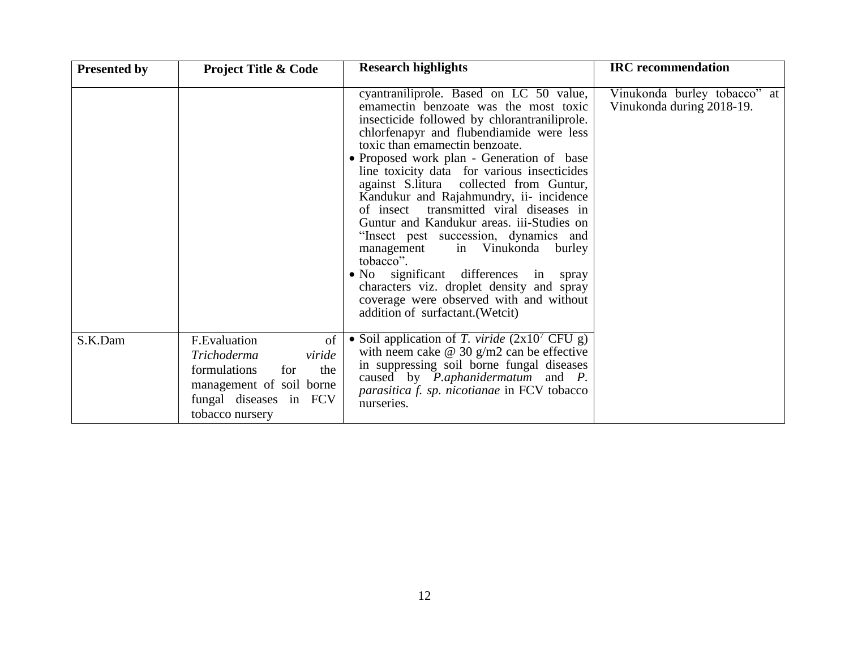| <b>Presented by</b> | <b>Project Title &amp; Code</b>                                                                                                                    | <b>Research highlights</b>                                                                                                                                                                                                                                                                                                                                                                                                                                                                                                                                                                                                                                                                                                                               | <b>IRC</b> recommendation                                 |
|---------------------|----------------------------------------------------------------------------------------------------------------------------------------------------|----------------------------------------------------------------------------------------------------------------------------------------------------------------------------------------------------------------------------------------------------------------------------------------------------------------------------------------------------------------------------------------------------------------------------------------------------------------------------------------------------------------------------------------------------------------------------------------------------------------------------------------------------------------------------------------------------------------------------------------------------------|-----------------------------------------------------------|
|                     |                                                                                                                                                    | cyantraniliprole. Based on LC 50 value,<br>emamectin benzoate was the most toxic<br>insecticide followed by chlorantraniliprole.<br>chlorfenapyr and flubendiamide were less<br>toxic than emamectin benzoate.<br>• Proposed work plan - Generation of base<br>line toxicity data for various insecticides<br>against S.litura collected from Guntur,<br>Kandukur and Rajahmundry, ii- incidence<br>of insect transmitted viral diseases in<br>Guntur and Kandukur areas. iii-Studies on<br>"Insect pest succession, dynamics and<br>in Vinukonda burley<br>management<br>tobacco".<br>• No significant differences in spray<br>characters viz. droplet density and spray<br>coverage were observed with and without<br>addition of surfactant. (Wetcit) | Vinukonda burley tobacco" at<br>Vinukonda during 2018-19. |
| S.K.Dam             | F.Evaluation<br>of<br>Trichoderma<br>viride<br>formulations<br>the<br>for<br>management of soil borne<br>fungal diseases in FCV<br>tobacco nursery | • Soil application of T. viride $(2x10^7 \text{ CFU g})$<br>with neem cake $\omega$ 30 g/m2 can be effective<br>in suppressing soil borne fungal diseases<br>caused by <i>P.aphanidermatum</i> and <i>P.</i><br>parasitica f. sp. nicotianae in FCV tobacco<br>nurseries.                                                                                                                                                                                                                                                                                                                                                                                                                                                                                |                                                           |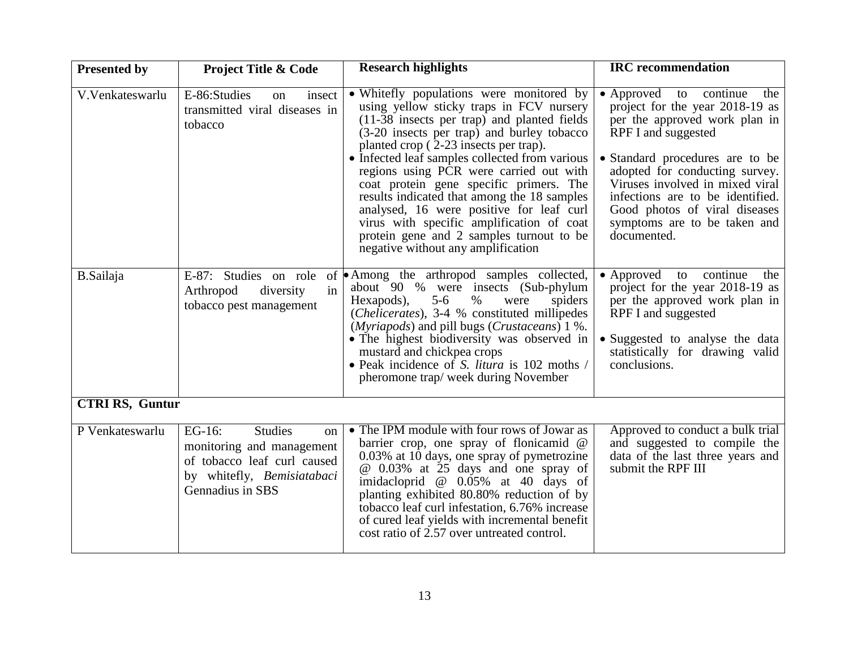| <b>Presented by</b>    | <b>Project Title &amp; Code</b>                                                                                                              | <b>Research highlights</b>                                                                                                                                                                                                                                                                                                                                                                                                                                                                                                                                                                   | <b>IRC</b> recommendation                                                                                                                                                                                                                                                                                                                            |
|------------------------|----------------------------------------------------------------------------------------------------------------------------------------------|----------------------------------------------------------------------------------------------------------------------------------------------------------------------------------------------------------------------------------------------------------------------------------------------------------------------------------------------------------------------------------------------------------------------------------------------------------------------------------------------------------------------------------------------------------------------------------------------|------------------------------------------------------------------------------------------------------------------------------------------------------------------------------------------------------------------------------------------------------------------------------------------------------------------------------------------------------|
| V.Venkateswarlu        | E-86:Studies<br>insect<br><sub>on</sub><br>transmitted viral diseases in<br>tobacco                                                          | • Whitefly populations were monitored by<br>using yellow sticky traps in FCV nursery<br>(11-38 insects per trap) and planted fields<br>(3-20 insects per trap) and burley tobacco<br>planted crop (2-23 insects per trap).<br>• Infected leaf samples collected from various<br>regions using PCR were carried out with<br>coat protein gene specific primers. The<br>results indicated that among the 18 samples<br>analysed, 16 were positive for leaf curl<br>virus with specific amplification of coat<br>protein gene and 2 samples turnout to be<br>negative without any amplification | • Approved to continue<br>the<br>project for the year 2018-19 as<br>per the approved work plan in<br>RPF I and suggested<br>• Standard procedures are to be<br>adopted for conducting survey.<br>Viruses involved in mixed viral<br>infections are to be identified.<br>Good photos of viral diseases<br>symptoms are to be taken and<br>documented. |
| <b>B.Sailaja</b>       | E-87: Studies on role<br>in<br>Arthropod<br>diversity<br>tobacco pest management                                                             | of Among the arthropod samples collected,<br>about 90 % were insects (Sub-phylum<br>Hexapods),<br>$5-6$<br>$\%$<br>spiders<br>were<br>(Chelicerates), 3-4 % constituted millipedes<br>( <i>Myriapods</i> ) and pill bugs ( <i>Crustaceans</i> ) 1 %.<br>• The highest biodiversity was observed in<br>mustard and chickpea crops<br>• Peak incidence of S. litura is 102 moths /<br>pheromone trap/week during November                                                                                                                                                                      | $\bullet$ Approved<br>to continue<br>the<br>project for the year 2018-19 as<br>per the approved work plan in<br>RPF I and suggested<br>• Suggested to analyse the data<br>statistically for drawing valid<br>conclusions.                                                                                                                            |
| <b>CTRI RS, Guntur</b> |                                                                                                                                              |                                                                                                                                                                                                                                                                                                                                                                                                                                                                                                                                                                                              |                                                                                                                                                                                                                                                                                                                                                      |
| P Venkateswarlu        | EG-16:<br><b>Studies</b><br>on<br>monitoring and management<br>of tobacco leaf curl caused<br>by whitefly, Bemisiatabaci<br>Gennadius in SBS | • The IPM module with four rows of Jowar as<br>barrier crop, one spray of flonicamid @<br>0.03% at 10 days, one spray of pymetrozine<br>@ 0.03% at 25 days and one spray of<br>imidacloprid $@$ 0.05% at 40 days of<br>planting exhibited 80.80% reduction of by<br>tobacco leaf curl infestation, 6.76% increase<br>of cured leaf yields with incremental benefit<br>cost ratio of 2.57 over untreated control.                                                                                                                                                                             | Approved to conduct a bulk trial<br>and suggested to compile the<br>data of the last three years and<br>submit the RPF III                                                                                                                                                                                                                           |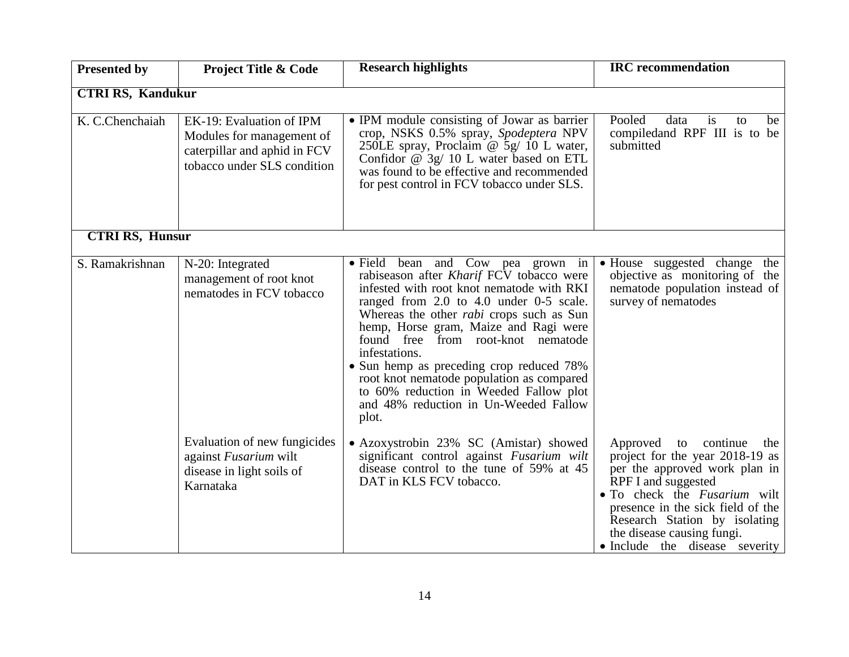| <b>Presented by</b>      | <b>Project Title &amp; Code</b>                                                                                      | <b>Research highlights</b>                                                                                                                                                                                                                                                                                                                                                                                                                                                                                    | <b>IRC</b> recommendation                                                                                                                                                                                                                                                                           |
|--------------------------|----------------------------------------------------------------------------------------------------------------------|---------------------------------------------------------------------------------------------------------------------------------------------------------------------------------------------------------------------------------------------------------------------------------------------------------------------------------------------------------------------------------------------------------------------------------------------------------------------------------------------------------------|-----------------------------------------------------------------------------------------------------------------------------------------------------------------------------------------------------------------------------------------------------------------------------------------------------|
|                          |                                                                                                                      |                                                                                                                                                                                                                                                                                                                                                                                                                                                                                                               |                                                                                                                                                                                                                                                                                                     |
| <b>CTRI RS, Kandukur</b> |                                                                                                                      |                                                                                                                                                                                                                                                                                                                                                                                                                                                                                                               |                                                                                                                                                                                                                                                                                                     |
| K. C.Chenchaiah          | EK-19: Evaluation of IPM<br>Modules for management of<br>caterpillar and aphid in FCV<br>tobacco under SLS condition | • IPM module consisting of Jowar as barrier<br>crop, NSKS 0.5% spray, Spodeptera NPV<br>250LE spray, Proclaim @ 5g/ 10 L water,<br>Confidor $@$ 3g/ 10 L water based on ETL<br>was found to be effective and recommended<br>for pest control in FCV tobacco under SLS.                                                                                                                                                                                                                                        | Pooled<br>data<br><i>is</i><br>to<br>be<br>compiledand RPF III is to be<br>submitted                                                                                                                                                                                                                |
| <b>CTRI RS, Hunsur</b>   |                                                                                                                      |                                                                                                                                                                                                                                                                                                                                                                                                                                                                                                               |                                                                                                                                                                                                                                                                                                     |
| S. Ramakrishnan          | N-20: Integrated<br>management of root knot<br>nematodes in FCV tobacco                                              | • Field bean and Cow pea grown in<br>rabiseason after Kharif FCV tobacco were<br>infested with root knot nematode with RKI<br>ranged from 2.0 to 4.0 under 0-5 scale.<br>Whereas the other <i>rabi</i> crops such as Sun<br>hemp, Horse gram, Maize and Ragi were<br>found free from root-knot nematode<br>infestations.<br>• Sun hemp as preceding crop reduced 78%<br>root knot nematode population as compared<br>to 60% reduction in Weeded Fallow plot<br>and 48% reduction in Un-Weeded Fallow<br>plot. | • House suggested change the<br>objective as monitoring of the<br>nematode population instead of<br>survey of nematodes                                                                                                                                                                             |
|                          | Evaluation of new fungicides<br>against Fusarium wilt<br>disease in light soils of<br>Karnataka                      | • Azoxystrobin 23% SC (Amistar) showed<br>significant control against Fusarium wilt<br>disease control to the tune of 59% at 45<br>DAT in KLS FCV tobacco.                                                                                                                                                                                                                                                                                                                                                    | Approved to continue<br>the<br>project for the year 2018-19 as<br>per the approved work plan in<br>RPF I and suggested<br>• To check the <i>Fusarium</i> wilt<br>presence in the sick field of the<br>Research Station by isolating<br>the disease causing fungi.<br>• Include the disease severity |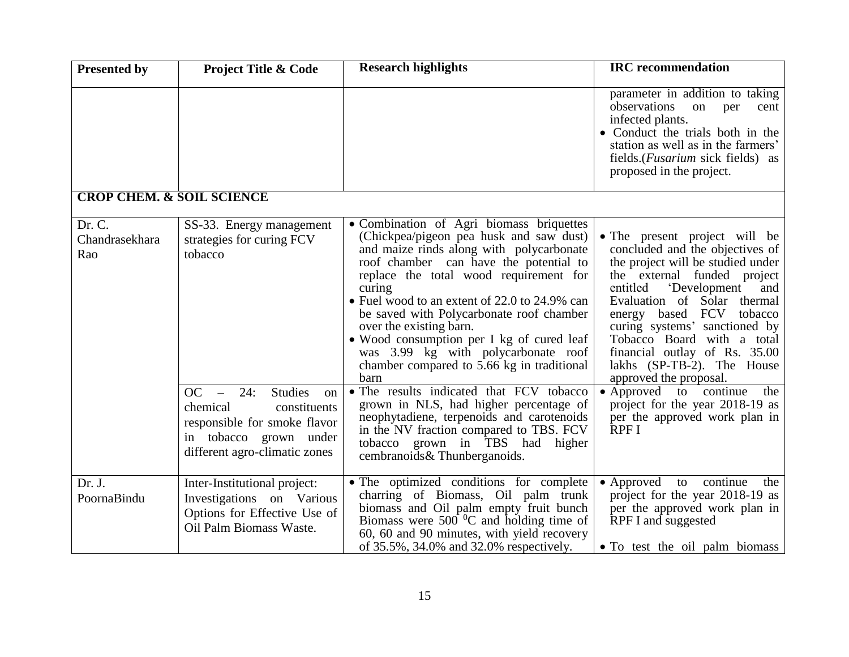| <b>Presented by</b>                  | <b>Project Title &amp; Code</b>                                                                                                                                               | <b>Research highlights</b>                                                                                                                                                                                                                                                                                                                                                                                                                                                                                                                                                                                                         | <b>IRC</b> recommendation                                                                                                                                                                                                                                                                                                                                                                                                                                                                                  |
|--------------------------------------|-------------------------------------------------------------------------------------------------------------------------------------------------------------------------------|------------------------------------------------------------------------------------------------------------------------------------------------------------------------------------------------------------------------------------------------------------------------------------------------------------------------------------------------------------------------------------------------------------------------------------------------------------------------------------------------------------------------------------------------------------------------------------------------------------------------------------|------------------------------------------------------------------------------------------------------------------------------------------------------------------------------------------------------------------------------------------------------------------------------------------------------------------------------------------------------------------------------------------------------------------------------------------------------------------------------------------------------------|
|                                      |                                                                                                                                                                               |                                                                                                                                                                                                                                                                                                                                                                                                                                                                                                                                                                                                                                    | parameter in addition to taking<br>observations<br>on<br>per<br>cent<br>infected plants.<br>• Conduct the trials both in the<br>station as well as in the farmers'<br>fields. ( <i>Fusarium</i> sick fields) as<br>proposed in the project.                                                                                                                                                                                                                                                                |
| <b>CROP CHEM. &amp; SOIL SCIENCE</b> |                                                                                                                                                                               |                                                                                                                                                                                                                                                                                                                                                                                                                                                                                                                                                                                                                                    |                                                                                                                                                                                                                                                                                                                                                                                                                                                                                                            |
| Dr. C.<br>Chandrasekhara<br>Rao      | SS-33. Energy management<br>strategies for curing FCV<br>tobacco<br>OC<br>24:<br><b>Studies</b><br>$\equiv$<br>on<br>chemical<br>constituents<br>responsible for smoke flavor | • Combination of Agri biomass briquettes<br>(Chickpea/pigeon pea husk and saw dust)<br>and maize rinds along with polycarbonate<br>roof chamber can have the potential to<br>replace the total wood requirement for<br>curing<br>• Fuel wood to an extent of 22.0 to 24.9% can<br>be saved with Polycarbonate roof chamber<br>over the existing barn.<br>• Wood consumption per I kg of cured leaf<br>was 3.99 kg with polycarbonate roof<br>chamber compared to 5.66 kg in traditional<br>barn<br>• The results indicated that FCV tobacco<br>grown in NLS, had higher percentage of<br>neophytadiene, terpenoids and carotenoids | • The present project will be<br>concluded and the objectives of<br>the project will be studied under<br>the external funded project<br>'Development<br>entitled<br>and<br>Evaluation of Solar thermal<br>energy based FCV tobacco<br>curing systems' sanctioned by<br>Tobacco Board with a total<br>financial outlay of Rs. 35.00<br>lakhs (SP-TB-2). The House<br>approved the proposal.<br>$\bullet$ Approved to<br>continue<br>the<br>project for the year 2018-19 as<br>per the approved work plan in |
|                                      | in tobacco grown under<br>different agro-climatic zones                                                                                                                       | in the NV fraction compared to TBS. FCV<br>tobacco grown in TBS had<br>higher<br>cembranoids & Thunberganoids.                                                                                                                                                                                                                                                                                                                                                                                                                                                                                                                     | RPF <sub>I</sub>                                                                                                                                                                                                                                                                                                                                                                                                                                                                                           |
| Dr. J.<br>PoornaBindu                | Inter-Institutional project:<br>Investigations on Various<br>Options for Effective Use of<br>Oil Palm Biomass Waste.                                                          | • The optimized conditions for complete<br>charring of Biomass, Oil palm trunk<br>biomass and Oil palm empty fruit bunch<br>Biomass were $500^{\circ}$ C and holding time of<br>60, 60 and 90 minutes, with yield recovery<br>of 35.5%, 34.0% and 32.0% respectively.                                                                                                                                                                                                                                                                                                                                                              | • Approved to continue<br>the<br>project for the year 2018-19 as<br>per the approved work plan in<br>RPF I and suggested<br>• To test the oil palm biomass                                                                                                                                                                                                                                                                                                                                                 |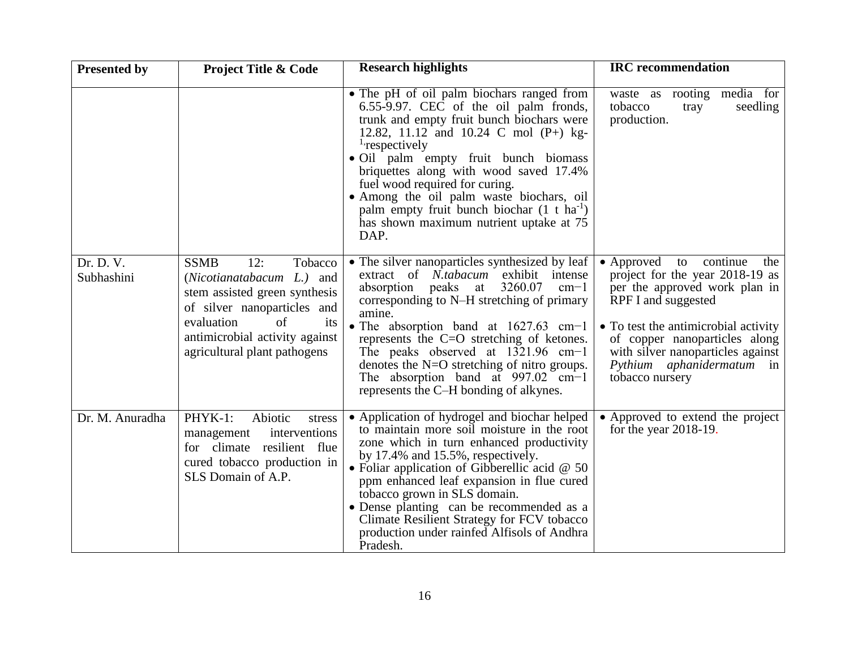| <b>Presented by</b>     | <b>Project Title &amp; Code</b>                                                                                                                                                                                                 | <b>Research highlights</b>                                                                                                                                                                                                                                                                                                                                                                                                                                                  | <b>IRC</b> recommendation                                                                                                                                                                                                                                                              |
|-------------------------|---------------------------------------------------------------------------------------------------------------------------------------------------------------------------------------------------------------------------------|-----------------------------------------------------------------------------------------------------------------------------------------------------------------------------------------------------------------------------------------------------------------------------------------------------------------------------------------------------------------------------------------------------------------------------------------------------------------------------|----------------------------------------------------------------------------------------------------------------------------------------------------------------------------------------------------------------------------------------------------------------------------------------|
|                         |                                                                                                                                                                                                                                 | • The pH of oil palm biochars ranged from<br>6.55-9.97. CEC of the oil palm fronds,<br>trunk and empty fruit bunch biochars were<br>12.82, 11.12 and 10.24 C mol (P+) kg-<br><sup>1</sup> respectively<br>· Oil palm empty fruit bunch biomass<br>briquettes along with wood saved 17.4%<br>fuel wood required for curing.<br>• Among the oil palm waste biochars, oil<br>palm empty fruit bunch biochar $(1 + ha^{-1})$<br>has shown maximum nutrient uptake at 75<br>DAP. | waste as rooting media for<br>tobacco<br>tray<br>seedling<br>production.                                                                                                                                                                                                               |
| Dr. D. V.<br>Subhashini | <b>SSMB</b><br>12:<br>Tobacco<br>(Nicotianatabacum L.) and<br>stem assisted green synthesis<br>of silver nanoparticles and<br>$\sigma$ f<br>evaluation<br>its<br>antimicrobial activity against<br>agricultural plant pathogens | • The silver nanoparticles synthesized by leaf<br>extract of N.tabacum exhibit intense<br>3260.07<br>absorption peaks at<br>$cm-1$<br>corresponding to N-H stretching of primary<br>amine.<br>• The absorption band at $1627.63$ cm-1<br>represents the C=O stretching of ketones.<br>The peaks observed at $1321.96$ cm-1<br>denotes the $N=O$ stretching of nitro groups.<br>The absorption band at $997.02$ cm-1<br>represents the C-H bonding of alkynes.               | • Approved to continue<br>the<br>project for the year 2018-19 as<br>per the approved work plan in<br>RPF I and suggested<br>• To test the antimicrobial activity<br>of copper nanoparticles along<br>with silver nanoparticles against<br>Pythium aphanidermatum in<br>tobacco nursery |
| Dr. M. Anuradha         | PHYK-1:<br>Abiotic<br>stress<br>interventions<br>management<br>for climate resilient flue<br>cured tobacco production in<br>SLS Domain of A.P.                                                                                  | • Application of hydrogel and biochar helped<br>to maintain more soil moisture in the root<br>zone which in turn enhanced productivity<br>by $17.4\%$ and $15.5\%$ , respectively.<br>• Foliar application of Gibberellic acid $@$ 50<br>ppm enhanced leaf expansion in flue cured<br>tobacco grown in SLS domain.<br>• Dense planting can be recommended as a<br>Climate Resilient Strategy for FCV tobacco<br>production under rainfed Alfisols of Andhra<br>Pradesh.     | • Approved to extend the project<br>for the year $2018-19$ .                                                                                                                                                                                                                           |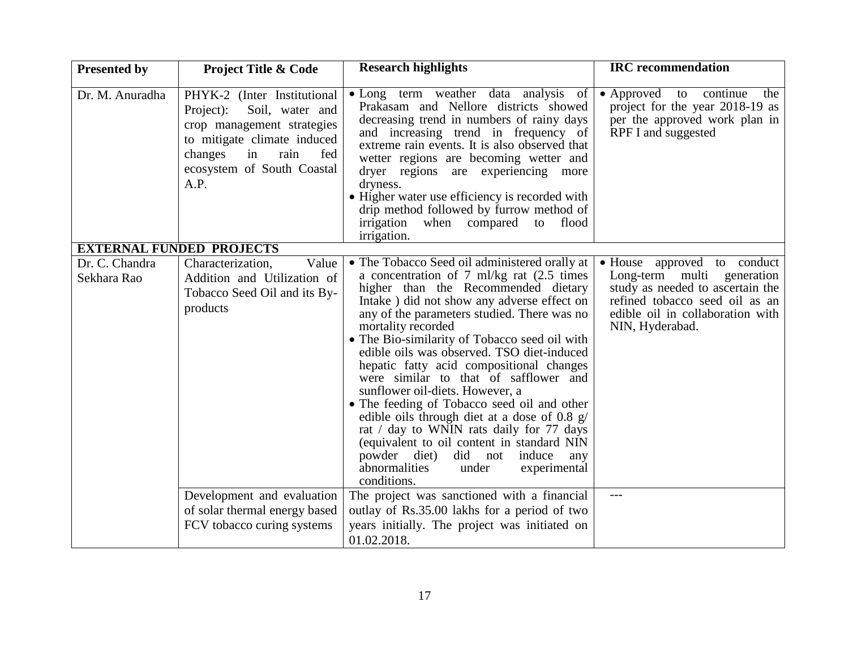| <b>Presented by</b>                                | <b>Project Title &amp; Code</b>                                                                                                                                                                | <b>Research highlights</b>                                                                                                                                                                                                                                                                                                                                                                                                                                                                                                                                                                                                                                                                                                                                             | <b>IRC</b> recommendation                                                                                                                                                              |
|----------------------------------------------------|------------------------------------------------------------------------------------------------------------------------------------------------------------------------------------------------|------------------------------------------------------------------------------------------------------------------------------------------------------------------------------------------------------------------------------------------------------------------------------------------------------------------------------------------------------------------------------------------------------------------------------------------------------------------------------------------------------------------------------------------------------------------------------------------------------------------------------------------------------------------------------------------------------------------------------------------------------------------------|----------------------------------------------------------------------------------------------------------------------------------------------------------------------------------------|
| Dr. M. Anuradha<br><b>EXTERNAL FUNDED PROJECTS</b> | PHYK-2 (Inter Institutional<br>Soil, water and<br>Project):<br>crop management strategies<br>to mitigate climate induced<br>changes<br>in<br>rain<br>fed<br>ecosystem of South Coastal<br>A.P. | • Long term weather data analysis of<br>Prakasam and Nellore districts showed<br>decreasing trend in numbers of rainy days<br>and increasing trend in frequency of<br>extreme rain events. It is also observed that<br>wetter regions are becoming wetter and<br>dryer regions are experiencing more<br>dryness.<br>• Higher water use efficiency is recorded with<br>drip method followed by furrow method of<br>irrigation when compared<br>to<br>flood<br>irrigation.                                                                                                                                                                                                                                                                                               | • Approved to continue<br>the<br>project for the year 2018-19 as<br>per the approved work plan in<br>RPF I and suggested                                                               |
| Dr. C. Chandra<br>Sekhara Rao                      | Value<br>Characterization,<br>Addition and Utilization of<br>Tobacco Seed Oil and its By-<br>products                                                                                          | • The Tobacco Seed oil administered orally at<br>a concentration of 7 ml/kg rat (2.5 times<br>higher than the Recommended dietary<br>Intake) did not show any adverse effect on<br>any of the parameters studied. There was no<br>mortality recorded<br>• The Bio-similarity of Tobacco seed oil with<br>edible oils was observed. TSO diet-induced<br>hepatic fatty acid compositional changes<br>were similar to that of safflower and<br>sunflower oil-diets. However, a<br>• The feeding of Tobacco seed oil and other<br>edible oils through diet at a dose of 0.8 g/<br>rat / day to WNIN rats daily for 77 days<br>(equivalent to oil content in standard NIN<br>powder diet)<br>did not induce<br>any<br>abnormalities<br>under<br>experimental<br>conditions. | • House approved to conduct<br>Long-term multi generation<br>study as needed to ascertain the<br>refined tobacco seed oil as an<br>edible oil in collaboration with<br>NIN, Hyderabad. |
|                                                    | Development and evaluation<br>of solar thermal energy based<br>FCV tobacco curing systems                                                                                                      | The project was sanctioned with a financial<br>outlay of Rs.35.00 lakhs for a period of two<br>years initially. The project was initiated on<br>01.02.2018.                                                                                                                                                                                                                                                                                                                                                                                                                                                                                                                                                                                                            | $---$                                                                                                                                                                                  |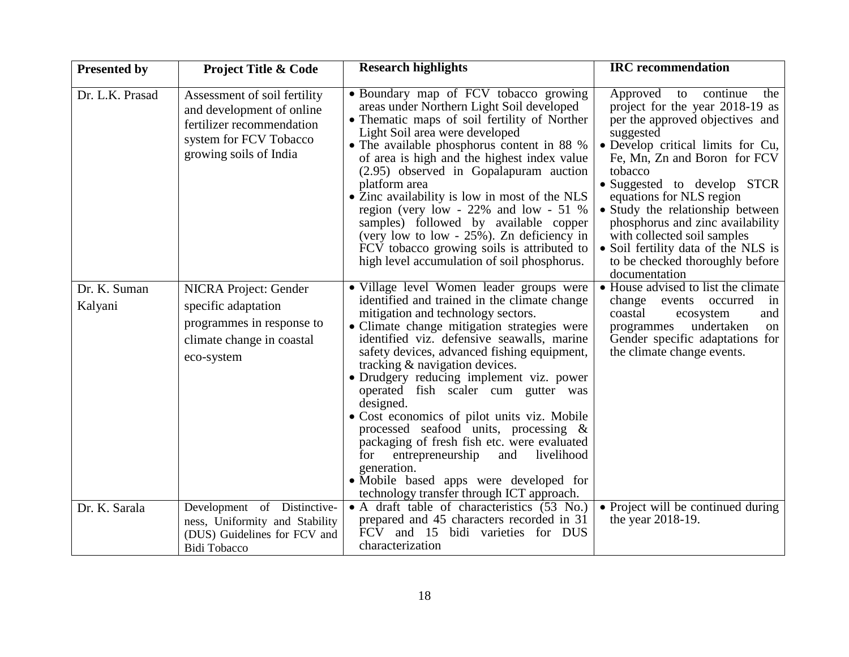| <b>Presented by</b>     | <b>Project Title &amp; Code</b>                                                                                                            | <b>Research highlights</b>                                                                                                                                                                                                                                                                                                                                                                                                                                                                                                                                                                                                                                                                                | <b>IRC</b> recommendation                                                                                                                                                                                                                                                                                                                                                                                                                                   |
|-------------------------|--------------------------------------------------------------------------------------------------------------------------------------------|-----------------------------------------------------------------------------------------------------------------------------------------------------------------------------------------------------------------------------------------------------------------------------------------------------------------------------------------------------------------------------------------------------------------------------------------------------------------------------------------------------------------------------------------------------------------------------------------------------------------------------------------------------------------------------------------------------------|-------------------------------------------------------------------------------------------------------------------------------------------------------------------------------------------------------------------------------------------------------------------------------------------------------------------------------------------------------------------------------------------------------------------------------------------------------------|
| Dr. L.K. Prasad         | Assessment of soil fertility<br>and development of online<br>fertilizer recommendation<br>system for FCV Tobacco<br>growing soils of India | • Boundary map of FCV tobacco growing<br>areas under Northern Light Soil developed<br>• Thematic maps of soil fertility of Norther<br>Light Soil area were developed<br>• The available phosphorus content in 88 %<br>of area is high and the highest index value<br>(2.95) observed in Gopalapuram auction<br>platform area<br>• Zinc availability is low in most of the NLS<br>region (very low - $22\%$ and low - $51\%$<br>samples) followed by available copper<br>(very low to low - 25%). Zn deficiency in<br>FCV tobacco growing soils is attributed to<br>high level accumulation of soil phosphorus.                                                                                            | Approved to continue<br>the<br>project for the year 2018-19 as<br>per the approved objectives and<br>suggested<br>• Develop critical limits for Cu,<br>Fe, Mn, Zn and Boron for FCV<br>tobacco<br>• Suggested to develop STCR<br>equations for NLS region<br>• Study the relationship between<br>phosphorus and zinc availability<br>with collected soil samples<br>• Soil fertility data of the NLS is<br>to be checked thoroughly before<br>documentation |
| Dr. K. Suman<br>Kalyani | <b>NICRA Project: Gender</b><br>specific adaptation<br>programmes in response to<br>climate change in coastal<br>eco-system                | • Village level Women leader groups were<br>identified and trained in the climate change<br>mitigation and technology sectors.<br>• Climate change mitigation strategies were<br>identified viz. defensive seawalls, marine<br>safety devices, advanced fishing equipment,<br>tracking & navigation devices.<br>· Drudgery reducing implement viz. power<br>operated fish scaler cum gutter was<br>designed.<br>• Cost economics of pilot units viz. Mobile<br>processed seafood units, processing $\&$<br>packaging of fresh fish etc. were evaluated<br>entrepreneurship<br>and livelihood<br>for<br>generation.<br>• Mobile based apps were developed for<br>technology transfer through ICT approach. | • House advised to list the climate<br>change events<br>occurred<br>in<br>coastal<br>ecosystem<br>and<br>undertaken<br>programmes<br>on<br>Gender specific adaptations for<br>the climate change events.                                                                                                                                                                                                                                                    |
| Dr. K. Sarala           | Development of Distinctive-<br>ness, Uniformity and Stability<br>(DUS) Guidelines for FCV and<br><b>Bidi Tobacco</b>                       | • A draft table of characteristics (53 No.)<br>prepared and 45 characters recorded in 31<br>FCV and 15 bidi varieties for DUS<br>characterization                                                                                                                                                                                                                                                                                                                                                                                                                                                                                                                                                         | • Project will be continued during<br>the year 2018-19.                                                                                                                                                                                                                                                                                                                                                                                                     |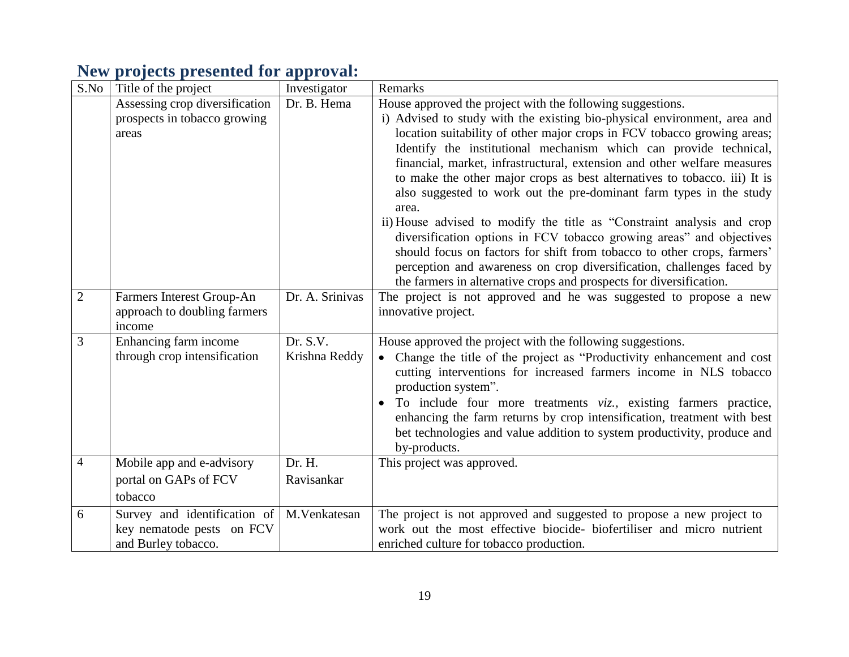## **New projects presented for approval:**

| S.No           | Title of the project                                                             | Investigator              | Remarks                                                                                                                                                                                                                                                                                                                                                                                                                                                                                                                                                                                                                                                                                                                                                                                                                                                                                                      |
|----------------|----------------------------------------------------------------------------------|---------------------------|--------------------------------------------------------------------------------------------------------------------------------------------------------------------------------------------------------------------------------------------------------------------------------------------------------------------------------------------------------------------------------------------------------------------------------------------------------------------------------------------------------------------------------------------------------------------------------------------------------------------------------------------------------------------------------------------------------------------------------------------------------------------------------------------------------------------------------------------------------------------------------------------------------------|
|                | Assessing crop diversification<br>prospects in tobacco growing<br>areas          | Dr. B. Hema               | House approved the project with the following suggestions.<br>i) Advised to study with the existing bio-physical environment, area and<br>location suitability of other major crops in FCV tobacco growing areas;<br>Identify the institutional mechanism which can provide technical,<br>financial, market, infrastructural, extension and other welfare measures<br>to make the other major crops as best alternatives to tobacco. iii) It is<br>also suggested to work out the pre-dominant farm types in the study<br>area.<br>ii) House advised to modify the title as "Constraint analysis and crop<br>diversification options in FCV tobacco growing areas" and objectives<br>should focus on factors for shift from tobacco to other crops, farmers'<br>perception and awareness on crop diversification, challenges faced by<br>the farmers in alternative crops and prospects for diversification. |
| $\overline{2}$ | Farmers Interest Group-An<br>approach to doubling farmers<br>income              | Dr. A. Srinivas           | The project is not approved and he was suggested to propose a new<br>innovative project.                                                                                                                                                                                                                                                                                                                                                                                                                                                                                                                                                                                                                                                                                                                                                                                                                     |
| 3              | Enhancing farm income<br>through crop intensification                            | Dr. S.V.<br>Krishna Reddy | House approved the project with the following suggestions.<br>Change the title of the project as "Productivity enhancement and cost<br>cutting interventions for increased farmers income in NLS tobacco<br>production system".<br>To include four more treatments viz., existing farmers practice,<br>enhancing the farm returns by crop intensification, treatment with best<br>bet technologies and value addition to system productivity, produce and<br>by-products.                                                                                                                                                                                                                                                                                                                                                                                                                                    |
| 4              | Mobile app and e-advisory<br>portal on GAPs of FCV<br>tobacco                    | Dr. H.<br>Ravisankar      | This project was approved.                                                                                                                                                                                                                                                                                                                                                                                                                                                                                                                                                                                                                                                                                                                                                                                                                                                                                   |
| 6              | Survey and identification of<br>key nematode pests on FCV<br>and Burley tobacco. | M.Venkatesan              | The project is not approved and suggested to propose a new project to<br>work out the most effective biocide- biofertiliser and micro nutrient<br>enriched culture for tobacco production.                                                                                                                                                                                                                                                                                                                                                                                                                                                                                                                                                                                                                                                                                                                   |